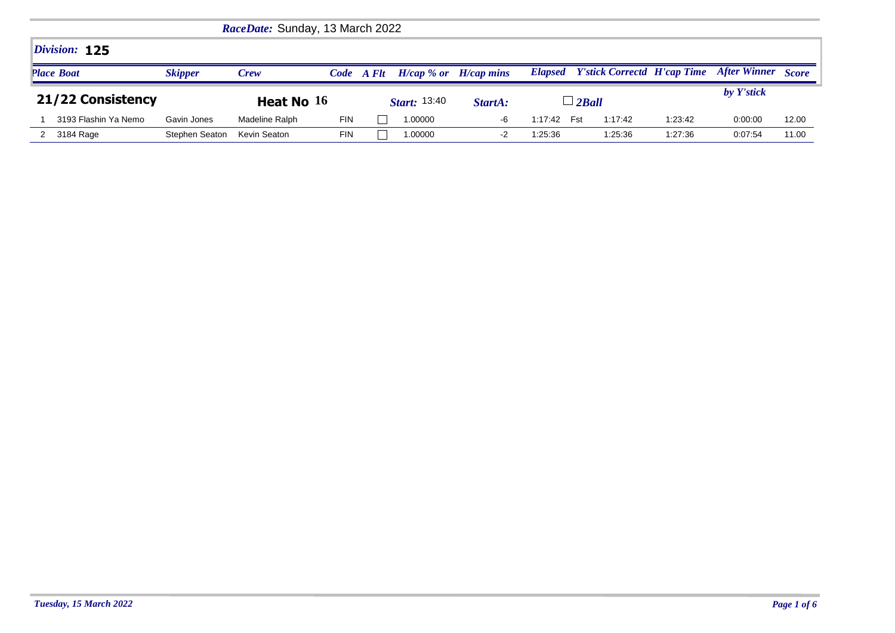|                   | <i>RaceDate:</i> Sunday, 13 March 2022 |                |                |      |       |                              |         |         |                                            |         |                     |              |
|-------------------|----------------------------------------|----------------|----------------|------|-------|------------------------------|---------|---------|--------------------------------------------|---------|---------------------|--------------|
|                   | Division: 125                          |                |                |      |       |                              |         |         |                                            |         |                     |              |
|                   | <b>Place Boat</b>                      | <b>Skipper</b> | <b>Crew</b>    | Code | A Flt | $H/cap \, %$ or $H/cap$ mins |         |         | <b>Elapsed</b> Y'stick Correctd H'cap Time |         | <b>After Winner</b> | <b>Score</b> |
| 21/22 Consistency |                                        |                |                |      |       |                              |         |         |                                            |         |                     |              |
|                   |                                        |                | Heat No $16$   |      |       | <b>Start:</b> 13:40          | StartA: |         | $\overline{\phantom{a}}$ 2 Ball            |         | by Y'stick          |              |
|                   | 3193 Flashin Ya Nemo                   | Gavin Jones    | Madeline Ralph | FIN  |       | 1.00000                      | -6      | 1:17:42 | 1:17:42<br>Fst                             | 1:23:42 | 0:00:00             | 12.00        |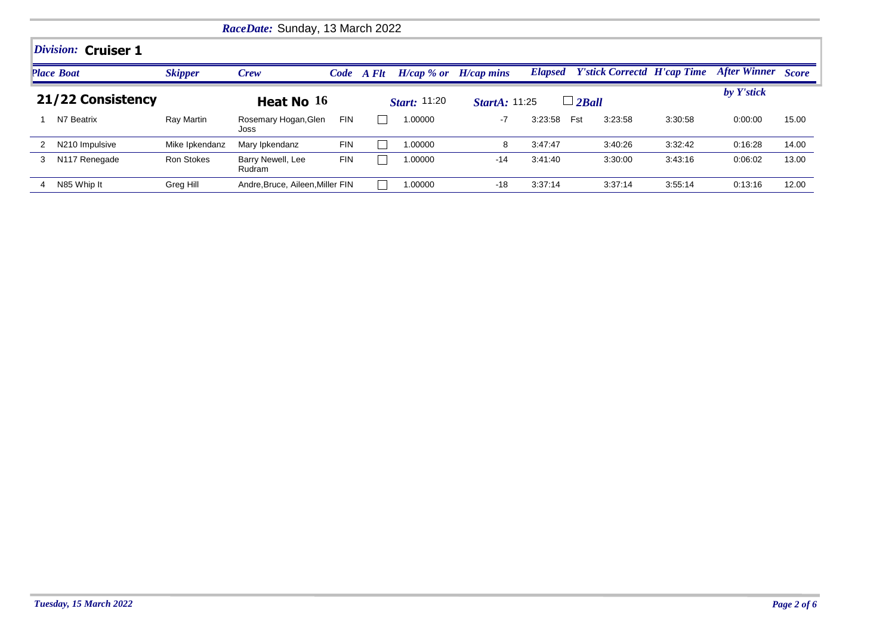|   |                     |                   | RaceDate: Sunday, 13 March 2022  |            |       |                      |                           |         |                                            |         |                           |       |  |  |
|---|---------------------|-------------------|----------------------------------|------------|-------|----------------------|---------------------------|---------|--------------------------------------------|---------|---------------------------|-------|--|--|
|   | Division: Cruiser 1 |                   |                                  |            |       |                      |                           |         |                                            |         |                           |       |  |  |
|   | <b>Place Boat</b>   | <b>Skipper</b>    | <b>Crew</b>                      | Code       | A Flt |                      | $H/cap$ % or $H/cap$ mins |         | <b>Elapsed</b> Y'stick Correctd H'cap Time |         | <b>After Winner</b> Score |       |  |  |
|   | 21/22 Consistency   |                   | Heat No $16$                     |            |       | <i>Start</i> : 11:20 | <b>StartA: 11:25</b>      |         | $\perp$ 2 Ball                             |         | by Y'stick                |       |  |  |
|   | N7 Beatrix          | Ray Martin        | Rosemary Hogan, Glen<br>Joss     | <b>FIN</b> |       | 1.00000              | $-7$                      | 3:23:58 | Fst<br>3:23:58                             | 3:30:58 | 0:00:00                   | 15.00 |  |  |
|   | N210 Impulsive      | Mike Ipkendanz    | Mary Ipkendanz                   | <b>FIN</b> |       | 1.00000              | 8                         | 3:47:47 | 3:40:26                                    | 3:32:42 | 0:16:28                   | 14.00 |  |  |
| 3 | N117 Renegade       | <b>Ron Stokes</b> | Barry Newell, Lee<br>Rudram      | <b>FIN</b> |       | 1.00000              | $-14$                     | 3:41:40 | 3:30:00                                    | 3:43:16 | 0:06:02                   | 13.00 |  |  |
|   | N85 Whip It         | Greg Hill         | Andre, Bruce, Aileen, Miller FIN |            |       | 1.00000              | $-18$                     | 3:37:14 | 3:37:14                                    | 3:55:14 | 0:13:16                   | 12.00 |  |  |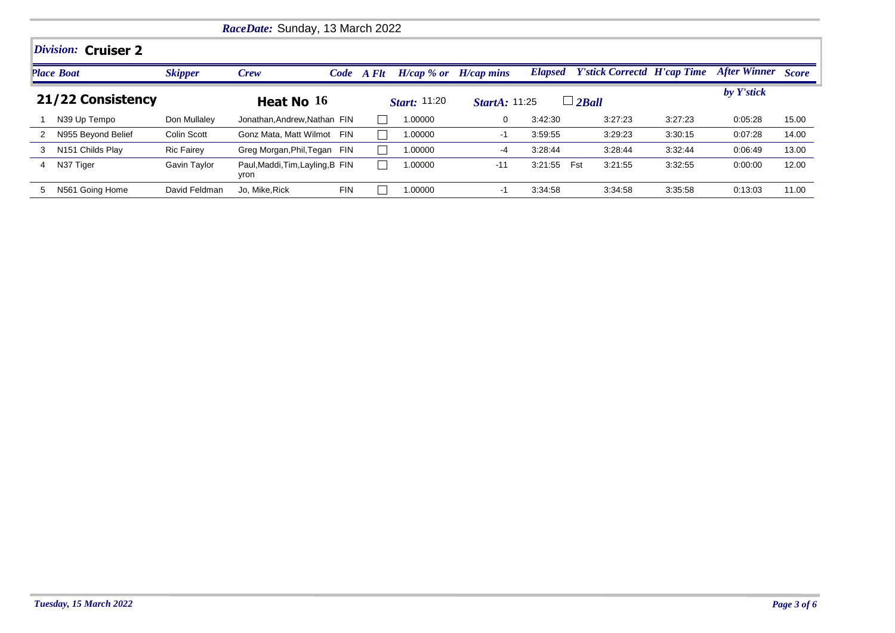|   | RaceDate: Sunday, 13 March 2022   |                   |                                          |            |            |                     |                           |                |                                    |         |                           |       |  |  |
|---|-----------------------------------|-------------------|------------------------------------------|------------|------------|---------------------|---------------------------|----------------|------------------------------------|---------|---------------------------|-------|--|--|
|   | <i><b>Division: Cruiser 2</b></i> |                   |                                          |            |            |                     |                           |                |                                    |         |                           |       |  |  |
|   | <b>Place Boat</b>                 | <b>Skipper</b>    | Crew                                     |            | Code A Flt |                     | $H/cap$ % or $H/cap$ mins | <b>Elapsed</b> | <b>Y'stick Correctd H'cap Time</b> |         | <b>After Winner</b> Score |       |  |  |
|   | 21/22 Consistency                 |                   | Heat No $16$                             |            |            | <b>Start:</b> 11:20 | <i>StartA</i> : 11:25     |                | $\Box$ 2Ball                       |         | by Y'stick                |       |  |  |
|   | N39 Up Tempo                      | Don Mullalev      | Jonathan.Andrew.Nathan FIN               |            |            | 1.00000             | 0                         | 3:42:30        | 3:27:23                            | 3:27:23 | 0:05:28                   | 15.00 |  |  |
| 2 | N955 Beyond Belief                | Colin Scott       | Gonz Mata, Matt Wilmot FIN               |            |            | 1.00000             | -1                        | 3:59:55        | 3:29:23                            | 3:30:15 | 0.07:28                   | 14.00 |  |  |
| 3 | N <sub>151</sub> Childs Play      | <b>Ric Fairey</b> | Greg Morgan, Phil, Tegan FIN             |            |            | 1.00000             | $-4$                      | 3:28:44        | 3:28:44                            | 3:32:44 | 0:06:49                   | 13.00 |  |  |
| 4 | N37 Tiger                         | Gavin Taylor      | Paul, Maddi, Tim, Layling, B FIN<br>yron |            |            | 1.00000             | $-11$                     | 3:21:55        | Fst<br>3:21:55                     | 3:32:55 | 0:00:00                   | 12.00 |  |  |
| 5 | N561 Going Home                   | David Feldman     | Jo, Mike, Rick                           | <b>FIN</b> |            | 1.00000             | $-1$                      | 3:34:58        | 3:34:58                            | 3:35:58 | 0:13:03                   | 11.00 |  |  |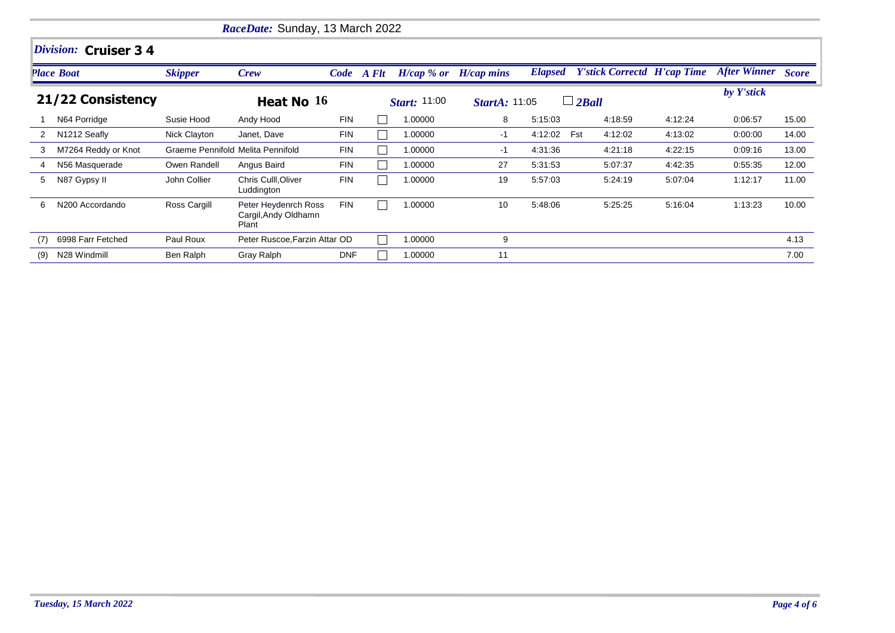|                   |                       |                                   | RaceDate: Sunday, 13 March 2022                       |            |            |                           |                      |         |                                            |         |                    |       |
|-------------------|-----------------------|-----------------------------------|-------------------------------------------------------|------------|------------|---------------------------|----------------------|---------|--------------------------------------------|---------|--------------------|-------|
|                   | Division: Cruiser 3 4 |                                   |                                                       |            |            |                           |                      |         |                                            |         |                    |       |
|                   | Place Boat            | <b>Skipper</b>                    | Crew                                                  |            | Code A Flt | $H/cap$ % or $H/cap$ mins |                      |         | <b>Elapsed</b> Y'stick Correctd H'cap Time |         | After Winner Score |       |
| 21/22 Consistency |                       |                                   | Heat No $16$                                          |            |            | <i>Start:</i> 11:00       | <b>StartA: 11:05</b> |         | $\Box$ 2Ball                               |         | by Y'stick         |       |
|                   | N64 Porridge          | Susie Hood                        | Andy Hood                                             | <b>FIN</b> |            | 1.00000                   | 8                    | 5:15:03 | 4:18:59                                    | 4:12:24 | 0:06.57            | 15.00 |
|                   | N1212 Seafly          | Nick Clayton                      | Janet, Dave                                           | <b>FIN</b> |            | 1.00000                   | -1                   | 4:12:02 | Fst<br>4:12:02                             | 4:13:02 | 0:00:00            | 14.00 |
| 3                 | M7264 Reddy or Knot   | Graeme Pennifold Melita Pennifold |                                                       | <b>FIN</b> |            | 1.00000                   | -1                   | 4:31:36 | 4:21:18                                    | 4:22:15 | 0.09.16            | 13.00 |
| 4                 | N56 Masquerade        | Owen Randell                      | Angus Baird                                           | <b>FIN</b> |            | 1.00000                   | 27                   | 5:31:53 | 5:07:37                                    | 4:42:35 | 0.55.35            | 12.00 |
| 5                 | N87 Gypsy II          | John Collier                      | Chris Culll, Oliver<br>Luddington                     | <b>FIN</b> |            | 1.00000                   | 19                   | 5:57:03 | 5:24:19                                    | 5:07:04 | 1:12:17            | 11.00 |
| 6                 | N200 Accordando       | Ross Cargill                      | Peter Heydenrch Ross<br>Cargil, Andy Oldhamn<br>Plant | <b>FIN</b> |            | 1.00000                   | 10                   | 5:48:06 | 5:25:25                                    | 5:16:04 | 1:13:23            | 10.00 |
| (7)               | 6998 Farr Fetched     | Paul Roux                         | Peter Ruscoe, Farzin Attar OD                         |            |            | 1.00000                   | 9                    |         |                                            |         |                    | 4.13  |
| (9)               | N28 Windmill          | Ben Ralph                         | Gray Ralph                                            | <b>DNF</b> |            | 1.00000                   | 11                   |         |                                            |         |                    | 7.00  |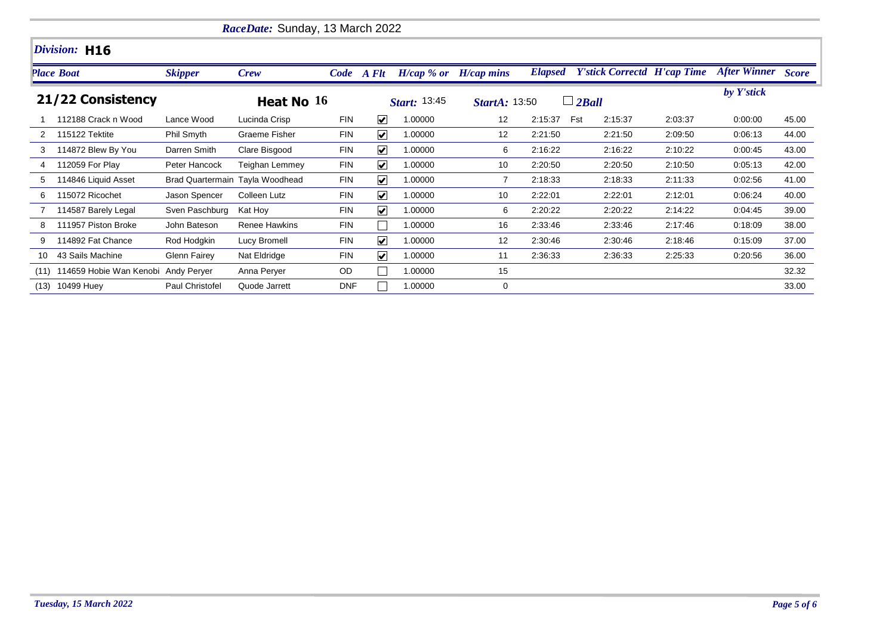|      |                         |                     | RaceDate: Sunday, 13 March 2022 |            |                         |                     |                           |                |                                    |         |                           |       |
|------|-------------------------|---------------------|---------------------------------|------------|-------------------------|---------------------|---------------------------|----------------|------------------------------------|---------|---------------------------|-------|
|      | Division: H16           |                     |                                 |            |                         |                     |                           |                |                                    |         |                           |       |
|      | <b>Place Boat</b>       | <b>Skipper</b>      | <b>Crew</b>                     |            | Code A Flt              |                     | $H/cap$ % or $H/cap$ mins | <b>Elapsed</b> | <b>Y'stick Correctd H'cap Time</b> |         | <b>After Winner Score</b> |       |
|      | 21/22 Consistency       |                     | Heat No $16$                    |            |                         | <b>Start: 13:45</b> | <b>StartA: 13:50</b>      |                | $\Box$ 2Ball                       |         | by Y'stick                |       |
|      | 112188 Crack n Wood     | Lance Wood          | Lucinda Crisp                   | <b>FIN</b> | $\overline{\mathbf{v}}$ | 1.00000             | 12 <sup>2</sup>           | 2:15:37        | Fst<br>2:15:37                     | 2:03:37 | 0.00:00                   | 45.00 |
|      | 115122 Tektite          | Phil Smyth          | <b>Graeme Fisher</b>            | <b>FIN</b> | $\overline{\mathbf{v}}$ | 1.00000             | 12                        | 2:21:50        | 2:21:50                            | 2:09:50 | 0:06:13                   | 44.00 |
| 3    | 114872 Blew By You      | Darren Smith        | Clare Bisgood                   | <b>FIN</b> | $\blacktriangledown$    | 1.00000             | 6                         | 2:16:22        | 2:16:22                            | 2:10:22 | 0:00:45                   | 43.00 |
| 4    | 112059 For Play         | Peter Hancock       | Teighan Lemmey                  | <b>FIN</b> | $\overline{\mathbf{v}}$ | 1.00000             | 10                        | 2:20:50        | 2:20:50                            | 2:10:50 | 0:05:13                   | 42.00 |
| 5    | 114846 Liquid Asset     |                     | Brad Quartermain Tayla Woodhead | <b>FIN</b> | $\overline{\mathbf{v}}$ | 1.00000             |                           | 2:18:33        | 2:18:33                            | 2:11:33 | 0:02:56                   | 41.00 |
| 6    | 115072 Ricochet         | Jason Spencer       | Colleen Lutz                    | <b>FIN</b> | $\vert \checkmark$      | 1.00000             | 10                        | 2:22:01        | 2:22:01                            | 2:12:01 | 0:06:24                   | 40.00 |
|      | 114587 Barely Legal     | Sven Paschburg      | Kat Hoy                         | <b>FIN</b> | $\overline{\mathbf{v}}$ | 1.00000             | 6                         | 2:20:22        | 2:20:22                            | 2:14:22 | 0:04:45                   | 39.00 |
| 8    | 111957 Piston Broke     | John Bateson        | <b>Renee Hawkins</b>            | <b>FIN</b> |                         | 1.00000             | 16                        | 2:33:46        | 2:33:46                            | 2:17:46 | 0:18:09                   | 38.00 |
| 9    | 114892 Fat Chance       | Rod Hodgkin         | Lucy Bromell                    | <b>FIN</b> | $\vert \checkmark$      | 1.00000             | 12                        | 2:30:46        | 2:30:46                            | 2:18:46 | 0:15:09                   | 37.00 |
| 10   | 43 Sails Machine        | <b>Glenn Fairey</b> | Nat Eldridge                    | <b>FIN</b> | $\vert \checkmark$      | 1.00000             | 11                        | 2:36:33        | 2:36:33                            | 2.25.33 | 0:20:56                   | 36.00 |
| (11) | 114659 Hobie Wan Kenobi | Andy Peryer         | Anna Perver                     | OD.        |                         | 1.00000             | 15                        |                |                                    |         |                           | 32.32 |
| (13) | 10499 Huey              | Paul Christofel     | Quode Jarrett                   | <b>DNF</b> |                         | 1.00000             | 0                         |                |                                    |         |                           | 33.00 |